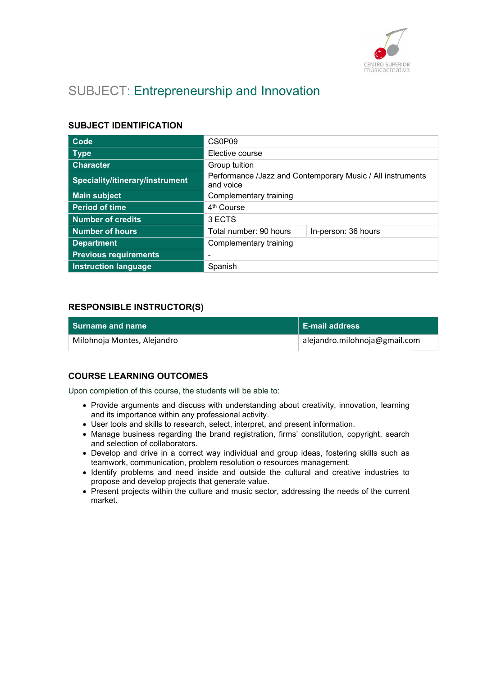

# SUBJECT: Entrepreneurship and Innovation

## SUBJECT IDENTIFICATION

| Code                            | CS0P09                                                                  |                     |
|---------------------------------|-------------------------------------------------------------------------|---------------------|
| <b>Type</b>                     | Elective course                                                         |                     |
| <b>Character</b>                | Group tuition                                                           |                     |
| Speciality/itinerary/instrument | Performance /Jazz and Contemporary Music / All instruments<br>and voice |                     |
| <b>Main subject</b>             | Complementary training                                                  |                     |
| <b>Period of time</b>           | 4 <sup>th</sup> Course                                                  |                     |
| <b>Number of credits</b>        | 3 ECTS                                                                  |                     |
| <b>Number of hours</b>          | Total number: 90 hours                                                  | In-person: 36 hours |
| <b>Department</b>               | Complementary training                                                  |                     |
| <b>Previous requirements</b>    |                                                                         |                     |
| <b>Instruction language</b>     | Spanish                                                                 |                     |

## RESPONSIBLE INSTRUCTOR(S)

| <b>Surname and name</b>     | <b>E-mail address</b>         |
|-----------------------------|-------------------------------|
| Milohnoja Montes, Alejandro | alejandro.milohnoja@gmail.com |

## COURSE LEARNING OUTCOMES

Upon completion of this course, the students will be able to:

- Provide arguments and discuss with understanding about creativity, innovation, learning and its importance within any professional activity.
- User tools and skills to research, select, interpret, and present information.
- Manage business regarding the brand registration, firms' constitution, copyright, search and selection of collaborators.
- Develop and drive in a correct way individual and group ideas, fostering skills such as teamwork, communication, problem resolution o resources management.
- Identify problems and need inside and outside the cultural and creative industries to propose and develop projects that generate value.
- Present projects within the culture and music sector, addressing the needs of the current market.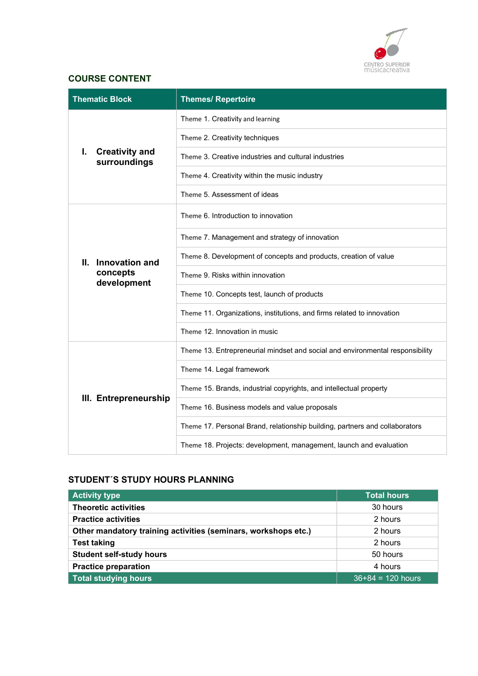

# COURSE CONTENT

| <b>Thematic Block</b>                           | <b>Themes/ Repertoire</b>                                                     |
|-------------------------------------------------|-------------------------------------------------------------------------------|
|                                                 | Theme 1. Creativity and learning                                              |
| ı.<br><b>Creativity and</b><br>surroundings     | Theme 2. Creativity techniques                                                |
|                                                 | Theme 3. Creative industries and cultural industries                          |
|                                                 | Theme 4. Creativity within the music industry                                 |
|                                                 | Theme 5. Assessment of ideas                                                  |
|                                                 | Theme 6. Introduction to innovation                                           |
| Innovation and<br>Ш.<br>concepts<br>development | Theme 7. Management and strategy of innovation                                |
|                                                 | Theme 8. Development of concepts and products, creation of value              |
|                                                 | Theme 9. Risks within innovation                                              |
|                                                 | Theme 10. Concepts test, launch of products                                   |
|                                                 | Theme 11. Organizations, institutions, and firms related to innovation        |
|                                                 | Theme 12. Innovation in music                                                 |
|                                                 | Theme 13. Entrepreneurial mindset and social and environmental responsibility |
| III. Entrepreneurship                           | Theme 14. Legal framework                                                     |
|                                                 | Theme 15. Brands, industrial copyrights, and intellectual property            |
|                                                 | Theme 16. Business models and value proposals                                 |
|                                                 | Theme 17. Personal Brand, relationship building, partners and collaborators   |
|                                                 | Theme 18. Projects: development, management, launch and evaluation            |

# STUDENT´S STUDY HOURS PLANNING

| <b>Activity type</b>                                           | <b>Total hours</b>  |
|----------------------------------------------------------------|---------------------|
| <b>Theoretic activities</b>                                    | 30 hours            |
| <b>Practice activities</b>                                     | 2 hours             |
| Other mandatory training activities (seminars, workshops etc.) | 2 hours             |
| <b>Test taking</b>                                             | 2 hours             |
| <b>Student self-study hours</b>                                | 50 hours            |
| <b>Practice preparation</b>                                    | 4 hours             |
| Total studying hours                                           | $36+84 = 120$ hours |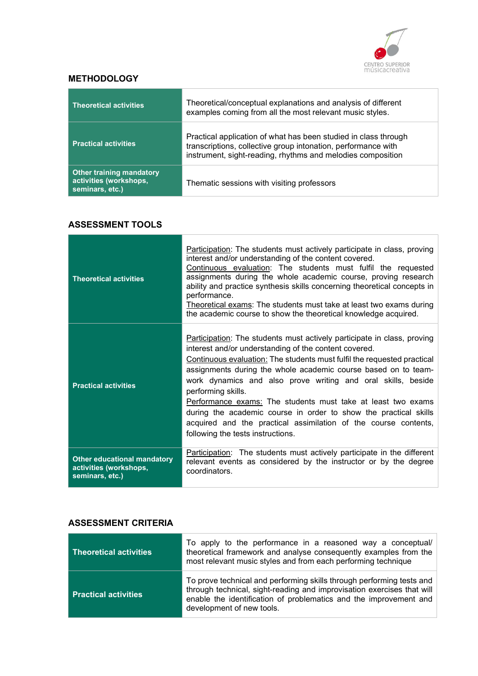

## **METHODOLOGY**

| <b>Theoretical activities</b>                                                | Theoretical/conceptual explanations and analysis of different<br>examples coming from all the most relevant music styles.                                                                       |
|------------------------------------------------------------------------------|-------------------------------------------------------------------------------------------------------------------------------------------------------------------------------------------------|
| <b>Practical activities</b>                                                  | Practical application of what has been studied in class through<br>transcriptions, collective group intonation, performance with<br>instrument, sight-reading, rhythms and melodies composition |
| <b>Other training mandatory</b><br>activities (workshops,<br>seminars, etc.) | Thematic sessions with visiting professors                                                                                                                                                      |

# ASSESSMENT TOOLS

| <b>Theoretical activities</b>                                                   | Participation: The students must actively participate in class, proving<br>interest and/or understanding of the content covered.<br>Continuous evaluation: The students must fulfil the requested<br>assignments during the whole academic course, proving research<br>ability and practice synthesis skills concerning theoretical concepts in<br>performance.<br>Theoretical exams: The students must take at least two exams during<br>the academic course to show the theoretical knowledge acquired.                                                                                                       |
|---------------------------------------------------------------------------------|-----------------------------------------------------------------------------------------------------------------------------------------------------------------------------------------------------------------------------------------------------------------------------------------------------------------------------------------------------------------------------------------------------------------------------------------------------------------------------------------------------------------------------------------------------------------------------------------------------------------|
| <b>Practical activities</b>                                                     | Participation: The students must actively participate in class, proving<br>interest and/or understanding of the content covered.<br>Continuous evaluation: The students must fulfil the requested practical<br>assignments during the whole academic course based on to team-<br>work dynamics and also prove writing and oral skills, beside<br>performing skills.<br>Performance exams: The students must take at least two exams<br>during the academic course in order to show the practical skills<br>acquired and the practical assimilation of the course contents,<br>following the tests instructions. |
| <b>Other educational mandatory</b><br>activities (workshops,<br>seminars, etc.) | <b>Participation:</b> The students must actively participate in the different<br>relevant events as considered by the instructor or by the degree<br>coordinators.                                                                                                                                                                                                                                                                                                                                                                                                                                              |

## ASSESSMENT CRITERIA

| <b>Theoretical activities</b> | To apply to the performance in a reasoned way a conceptual/<br>theoretical framework and analyse consequently examples from the<br>most relevant music styles and from each performing technique                                                  |
|-------------------------------|---------------------------------------------------------------------------------------------------------------------------------------------------------------------------------------------------------------------------------------------------|
| <b>Practical activities</b>   | To prove technical and performing skills through performing tests and<br>through technical, sight-reading and improvisation exercises that will<br>enable the identification of problematics and the improvement and<br>development of new tools. |